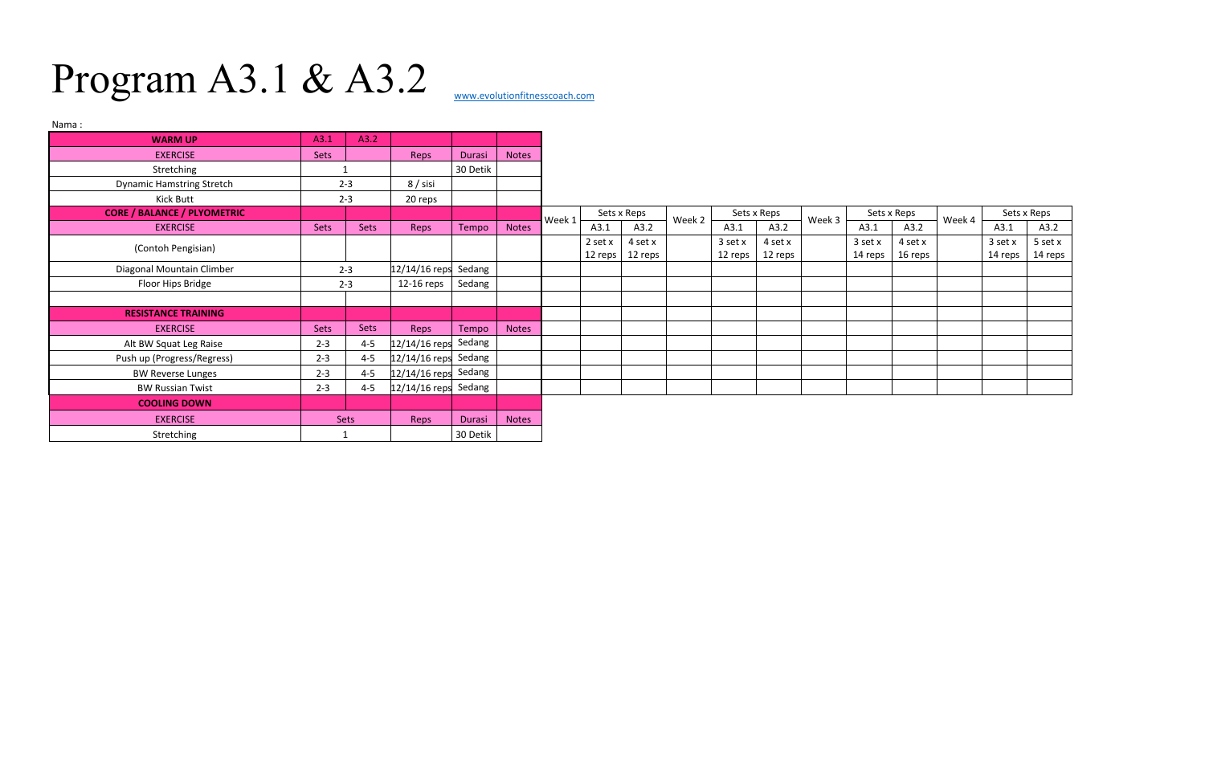## Program A3.1 & A3.2

| Nama:                              |                                   |         |                        |          |              |        |             |                         |        |             |         |        |             |         |        |             |         |
|------------------------------------|-----------------------------------|---------|------------------------|----------|--------------|--------|-------------|-------------------------|--------|-------------|---------|--------|-------------|---------|--------|-------------|---------|
| <b>WARM UP</b>                     | A3.1                              | A3.2    |                        |          |              |        |             |                         |        |             |         |        |             |         |        |             |         |
| <b>EXERCISE</b>                    | Sets                              |         | Reps                   | Durasi   | Notes        |        |             |                         |        |             |         |        |             |         |        |             |         |
| Stretching                         |                                   |         |                        | 30 Detik |              |        |             |                         |        |             |         |        |             |         |        |             |         |
| <b>Dynamic Hamstring Stretch</b>   | $2 - 3$                           |         | $8/$ sisi              |          |              |        |             |                         |        |             |         |        |             |         |        |             |         |
| Kick Butt                          | $2 - 3$                           |         | 20 reps                |          |              |        |             |                         |        |             |         |        |             |         |        |             |         |
| <b>CORE / BALANCE / PLYOMETRIC</b> |                                   |         |                        |          |              | Week 1 | Sets x Reps |                         | Week 2 | Sets x Reps |         | Week 3 | Sets x Reps |         | Week 4 | Sets x Reps |         |
| <b>EXERCISE</b>                    | Sets                              | Sets    | Reps                   | Tempo    | <b>Notes</b> |        | A3.1        | A3.2                    |        | A3.1        | A3.2    |        | A3.1        | A3.2    |        | A3.1        | A3.2    |
| (Contoh Pengisian)                 |                                   |         |                        |          |              |        | 2 set x     | 4 set x                 |        | 3 set x     | 4 set x |        | 3 set x     | 4 set x |        | 3 set x     | 5 set x |
|                                    |                                   |         |                        |          |              |        |             | 12 reps $\vert$ 12 reps |        | 12 reps     | 12 reps |        | 14 reps     | 16 reps |        | 14 reps     | 14 reps |
| Diagonal Mountain Climber          | $12/14/16$ reps Sedang<br>$2 - 3$ |         |                        |          |              |        |             |                         |        |             |         |        |             |         |        |             |         |
| Floor Hips Bridge                  | $2 - 3$                           |         | 12-16 reps             | Sedang   |              |        |             |                         |        |             |         |        |             |         |        |             |         |
|                                    |                                   |         |                        |          |              |        |             |                         |        |             |         |        |             |         |        |             |         |
| <b>RESISTANCE TRAINING</b>         |                                   |         |                        |          |              |        |             |                         |        |             |         |        |             |         |        |             |         |
| <b>EXERCISE</b>                    | <b>Sets</b>                       | Sets    | Reps                   | Tempo    | <b>Notes</b> |        |             |                         |        |             |         |        |             |         |        |             |         |
| Alt BW Squat Leg Raise             | $2 - 3$                           | $4 - 5$ | $12/14/16$ reps Sedang |          |              |        |             |                         |        |             |         |        |             |         |        |             |         |
| Push up (Progress/Regress)         | $2 - 3$                           | $4 - 5$ | $12/14/16$ reps Sedang |          |              |        |             |                         |        |             |         |        |             |         |        |             |         |
| <b>BW Reverse Lunges</b>           | $2 - 3$                           | $4 - 5$ | $12/14/16$ reps Sedang |          |              |        |             |                         |        |             |         |        |             |         |        |             |         |
| <b>BW Russian Twist</b>            | $2 - 3$                           | $4 - 5$ | $12/14/16$ reps Sedang |          |              |        |             |                         |        |             |         |        |             |         |        |             |         |
| <b>COOLING DOWN</b>                |                                   |         |                        |          |              |        |             |                         |        |             |         |        |             |         |        |             |         |
| <b>EXERCISE</b>                    | <b>Sets</b>                       |         | Reps                   | Durasi   | Notes        |        |             |                         |        |             |         |        |             |         |        |             |         |
| Stretching                         |                                   |         |                        | 30 Detik |              |        |             |                         |        |             |         |        |             |         |        |             |         |